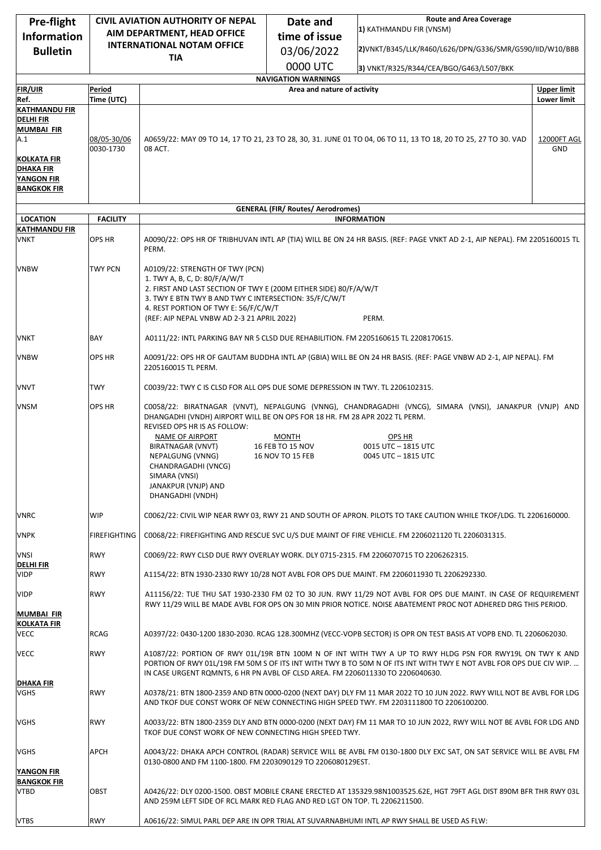| Pre-flight                           | <b>CIVIL AVIATION AUTHORITY OF NEPAL</b> |                                                                                                                                                                              | <b>Route and Area Coverage</b><br>Date and                |                                                                                                                                                                                                                                 |                    |
|--------------------------------------|------------------------------------------|------------------------------------------------------------------------------------------------------------------------------------------------------------------------------|-----------------------------------------------------------|---------------------------------------------------------------------------------------------------------------------------------------------------------------------------------------------------------------------------------|--------------------|
| <b>Information</b>                   | AIM DEPARTMENT, HEAD OFFICE              |                                                                                                                                                                              | time of issue                                             | 1) KATHMANDU FIR (VNSM)                                                                                                                                                                                                         |                    |
| <b>Bulletin</b>                      |                                          | <b>INTERNATIONAL NOTAM OFFICE</b>                                                                                                                                            | 03/06/2022                                                | 2)VNKT/B345/LLK/R460/L626/DPN/G336/SMR/G590/IID/W10/BBB                                                                                                                                                                         |                    |
|                                      |                                          | <b>TIA</b>                                                                                                                                                                   |                                                           |                                                                                                                                                                                                                                 |                    |
|                                      |                                          |                                                                                                                                                                              | 0000 UTC                                                  | 3) VNKT/R325/R344/CEA/BGO/G463/L507/BKK                                                                                                                                                                                         |                    |
| <b>FIR/UIR</b>                       | Period                                   |                                                                                                                                                                              | <b>NAVIGATION WARNINGS</b><br>Area and nature of activity |                                                                                                                                                                                                                                 | <b>Upper limit</b> |
| Ref.                                 | Time (UTC)                               |                                                                                                                                                                              |                                                           |                                                                                                                                                                                                                                 | <b>Lower limit</b> |
| <b>KATHMANDU FIR</b>                 |                                          |                                                                                                                                                                              |                                                           |                                                                                                                                                                                                                                 |                    |
| <b>DELHIFIR</b><br><b>MUMBAI FIR</b> |                                          |                                                                                                                                                                              |                                                           |                                                                                                                                                                                                                                 |                    |
| A.1                                  | 08/05-30/06                              | A0659/22: MAY 09 TO 14, 17 TO 21, 23 TO 28, 30, 31. JUNE 01 TO 04, 06 TO 11, 13 TO 18, 20 TO 25, 27 TO 30. VAD<br>12000FT AGL                                                |                                                           |                                                                                                                                                                                                                                 |                    |
|                                      | 0030-1730                                | 08 ACT.                                                                                                                                                                      |                                                           |                                                                                                                                                                                                                                 | GND                |
| <b>KOLKATA FIR</b><br>DHAKA FIR      |                                          |                                                                                                                                                                              |                                                           |                                                                                                                                                                                                                                 |                    |
| <b>YANGON FIR</b>                    |                                          |                                                                                                                                                                              |                                                           |                                                                                                                                                                                                                                 |                    |
| <b>BANGKOK FIR</b>                   |                                          |                                                                                                                                                                              |                                                           |                                                                                                                                                                                                                                 |                    |
|                                      |                                          |                                                                                                                                                                              | <b>GENERAL (FIR/ Routes/ Aerodromes)</b>                  |                                                                                                                                                                                                                                 |                    |
| <b>LOCATION</b>                      | <b>FACILITY</b>                          |                                                                                                                                                                              |                                                           | <b>INFORMATION</b>                                                                                                                                                                                                              |                    |
| <b>KATHMANDU FIR</b>                 |                                          | A0090/22: OPS HR OF TRIBHUVAN INTL AP (TIA) WILL BE ON 24 HR BASIS. (REF: PAGE VNKT AD 2-1, AIP NEPAL). FM 2205160015 TL                                                     |                                                           |                                                                                                                                                                                                                                 |                    |
| <b>VNKT</b>                          | OPS HR                                   | PERM.                                                                                                                                                                        |                                                           |                                                                                                                                                                                                                                 |                    |
| <b>VNBW</b>                          | <b>TWY PCN</b>                           | A0109/22: STRENGTH OF TWY (PCN)                                                                                                                                              |                                                           |                                                                                                                                                                                                                                 |                    |
|                                      |                                          | 1. TWY A, B, C, D: 80/F/A/W/T                                                                                                                                                |                                                           |                                                                                                                                                                                                                                 |                    |
|                                      |                                          | 2. FIRST AND LAST SECTION OF TWY E (200M EITHER SIDE) 80/F/A/W/T<br>3. TWY E BTN TWY B AND TWY C INTERSECTION: 35/F/C/W/T                                                    |                                                           |                                                                                                                                                                                                                                 |                    |
|                                      |                                          | 4. REST PORTION OF TWY E: 56/F/C/W/T                                                                                                                                         |                                                           |                                                                                                                                                                                                                                 |                    |
|                                      |                                          | (REF: AIP NEPAL VNBW AD 2-3 21 APRIL 2022)                                                                                                                                   |                                                           | PERM.                                                                                                                                                                                                                           |                    |
| VNKT                                 | BAY                                      | A0111/22: INTL PARKING BAY NR 5 CLSD DUE REHABILITION. FM 2205160615 TL 2208170615.                                                                                          |                                                           |                                                                                                                                                                                                                                 |                    |
| <b>VNBW</b>                          | OPS HR                                   | 2205160015 TL PERM.                                                                                                                                                          |                                                           | A0091/22: OPS HR OF GAUTAM BUDDHA INTL AP (GBIA) WILL BE ON 24 HR BASIS. (REF: PAGE VNBW AD 2-1, AIP NEPAL). FM                                                                                                                 |                    |
| VNVT                                 | TWY                                      | C0039/22: TWY C IS CLSD FOR ALL OPS DUE SOME DEPRESSION IN TWY. TL 2206102315.                                                                                               |                                                           |                                                                                                                                                                                                                                 |                    |
| <b>VNSM</b>                          | <b>OPS HR</b>                            | DHANGADHI (VNDH) AIRPORT WILL BE ON OPS FOR 18 HR. FM 28 APR 2022 TL PERM.                                                                                                   |                                                           | C0058/22: BIRATNAGAR (VNVT), NEPALGUNG (VNNG), CHANDRAGADHI (VNCG), SIMARA (VNSI), JANAKPUR (VNJP) AND                                                                                                                          |                    |
|                                      |                                          | REVISED OPS HR IS AS FOLLOW:<br>NAME OF AIRPORT<br>BIRATNAGAR (VNVT)<br>NEPALGUNG (VNNG)<br>CHANDRAGADHI (VNCG)<br>SIMARA (VNSI)<br>JANAKPUR (VNJP) AND<br>DHANGADHI (VNDH)  | <b>MONTH</b><br>16 FEB TO 15 NOV<br>16 NOV TO 15 FEB      | OPS HR<br>0015 UTC - 1815 UTC<br>0045 UTC - 1815 UTC                                                                                                                                                                            |                    |
| <b>VNRC</b>                          | WIP                                      | C0062/22: CIVIL WIP NEAR RWY 03, RWY 21 AND SOUTH OF APRON. PILOTS TO TAKE CAUTION WHILE TKOF/LDG. TL 2206160000.                                                            |                                                           |                                                                                                                                                                                                                                 |                    |
| <b>VNPK</b>                          | FIREFIGHTING                             | C0068/22: FIREFIGHTING AND RESCUE SVC U/S DUE MAINT OF FIRE VEHICLE. FM 2206021120 TL 2206031315.                                                                            |                                                           |                                                                                                                                                                                                                                 |                    |
| <b>VNSI</b><br><b>DELHIFIR</b>       | <b>RWY</b>                               | C0069/22: RWY CLSD DUE RWY OVERLAY WORK. DLY 0715-2315. FM 2206070715 TO 2206262315.                                                                                         |                                                           |                                                                                                                                                                                                                                 |                    |
| <b>VIDP</b>                          | <b>RWY</b>                               |                                                                                                                                                                              |                                                           | A1154/22: BTN 1930-2330 RWY 10/28 NOT AVBL FOR OPS DUE MAINT. FM 2206011930 TL 2206292330.                                                                                                                                      |                    |
| <b>VIDP</b>                          | <b>RWY</b>                               |                                                                                                                                                                              |                                                           | A11156/22: TUE THU SAT 1930-2330 FM 02 TO 30 JUN. RWY 11/29 NOT AVBL FOR OPS DUE MAINT. IN CASE OF REQUIREMENT<br>RWY 11/29 WILL BE MADE AVBL FOR OPS ON 30 MIN PRIOR NOTICE. NOISE ABATEMENT PROC NOT ADHERED DRG THIS PERIOD. |                    |
| <b>MUMBAI FIR</b>                    |                                          |                                                                                                                                                                              |                                                           |                                                                                                                                                                                                                                 |                    |
| <b>KOLKATA FIR</b><br>VECC           | RCAG                                     |                                                                                                                                                                              |                                                           | A0397/22: 0430-1200 1830-2030. RCAG 128.300MHZ (VECC-VOPB SECTOR) IS OPR ON TEST BASIS AT VOPB END. TL 2206062030.                                                                                                              |                    |
| <b>VECC</b>                          | <b>RWY</b>                               | IN CASE URGENT ROMNTS, 6 HR PN AVBL OF CLSD AREA. FM 2206011330 TO 2206040630.                                                                                               |                                                           | A1087/22: PORTION OF RWY 01L/19R BTN 100M N OF INT WITH TWY A UP TO RWY HLDG PSN FOR RWY19L ON TWY K AND<br>PORTION OF RWY 01L/19R FM 50M S OF ITS INT WITH TWY B TO 50M N OF ITS INT WITH TWY E NOT AVBL FOR OPS DUE CIV WIP.  |                    |
| <b>DHAKA FIR</b><br><b>VGHS</b>      | <b>RWY</b>                               |                                                                                                                                                                              |                                                           | A0378/21: BTN 1800-2359 AND BTN 0000-0200 (NEXT DAY) DLY FM 11 MAR 2022 TO 10 JUN 2022. RWY WILL NOT BE AVBL FOR LDG<br>AND TKOF DUE CONST WORK OF NEW CONNECTING HIGH SPEED TWY. FM 2203111800 TO 2206100200.                  |                    |
| <b>VGHS</b>                          | <b>RWY</b>                               | A0033/22: BTN 1800-2359 DLY AND BTN 0000-0200 (NEXT DAY) FM 11 MAR TO 10 JUN 2022, RWY WILL NOT BE AVBL FOR LDG AND<br>TKOF DUE CONST WORK OF NEW CONNECTING HIGH SPEED TWY. |                                                           |                                                                                                                                                                                                                                 |                    |
| VGHS                                 | APCH                                     |                                                                                                                                                                              |                                                           | A0043/22: DHAKA APCH CONTROL (RADAR) SERVICE WILL BE AVBL FM 0130-1800 DLY EXC SAT, ON SAT SERVICE WILL BE AVBL FM                                                                                                              |                    |
| <b>YANGON FIR</b>                    |                                          | 0130-0800 AND FM 1100-1800. FM 2203090129 TO 2206080129EST.                                                                                                                  |                                                           |                                                                                                                                                                                                                                 |                    |
| <b>BANGKOK FIR</b><br>VTBD           | OBST                                     | AND 259M LEFT SIDE OF RCL MARK RED FLAG AND RED LGT ON TOP. TL 2206211500.                                                                                                   |                                                           | A0426/22: DLY 0200-1500. OBST MOBILE CRANE ERECTED AT 135329.98N1003525.62E, HGT 79FT AGL DIST 890M BFR THR RWY 03L                                                                                                             |                    |
| <b>VTBS</b>                          | <b>RWY</b>                               |                                                                                                                                                                              |                                                           | A0616/22: SIMUL PARL DEP ARE IN OPR TRIAL AT SUVARNABHUMI INTL AP RWY SHALL BE USED AS FLW:                                                                                                                                     |                    |